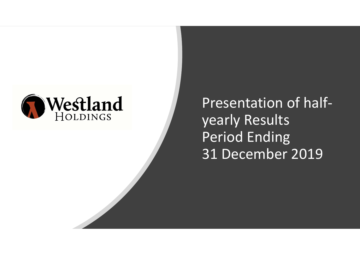

Presentation of halfyearly Results Period Ending 31 December 2019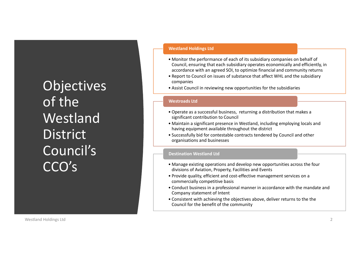**Objectives** of the **Westland District** Council's CCO's Westland Holdings transfer and the constant with a chief of constant principal and the constant principal and the constant principal and the constant principal and the constant principal and the constant principal and the

## Westland Holdings Ltd

- **Example 19 Follow Westland Holdings Ltd**<br>
 Monitor the performance of each of its subsidiary companies on behalf of<br>
Council, ensuring that each subsidiary operates economically and efficiently, in<br>
accordance with an ag Council, ensuring that each subsidiary operates economically and efficiently, in accordance with an agreed SOI, to optimize financial and community returns **Example 18 Follow Westland Holdings Ltd**<br>• Monitor the performance of each of its subsidiary companies on behalf of<br>council, ensuring that each subsidiary operates economically and efficiently, in<br>• accordance with an agr **•** Mustrand Holdings Ltd<br>• Monitor the performance of each of its subsidiary companies on behalf of<br>Council, ensuring that each subsidiary operates economically and efficiently, in<br>accordance with an agreed SOI, to optimi **•** Mestland Holdings Ltd<br>
• Monitor the performance of each of its subsidiary companies on behalf of<br>
Council, ensuring that each subsidiary operates economically and efficiently, in<br>
a cacordance with an agreed SOI, to o **•** Monitor the performance of each of its subsidiary companies on behalf of<br>
Council, ensuring that each subsidiary operates economically and efficiently, in<br>
accordance with an agreed SOI, to optimize financial and commu **•** Monitor the performance of each of its subsidiary companies on behalf of<br>
• Monitor the performance of each of its subsidiary companies on behalf of<br>
• Council, ensuring that each subsidiary operates economically and e • Monitor the performance of each of its subsidiary companies on behalf of<br>
cocordance with an agreed SOI, to optimize financial and community returns<br>
• accordance with an agreed SOI, to optimize financial and community r
- companies
- 

## Westroads Ltd

- significant contribution to Council
- having equipment available throughout the district
- organisations and businesses

## Destination Westland Ltd

- divisions of Aviation, Property, Facilities and Events
- commercially competitive basis
- accordance with an agreed SOI, to optimize financial and community returns<br>
 Report to Council on issues of substance that affect WHL and the subsidiary<br>
 Companies<br>
 Assist Council in reviewing new opportunities for th companies<br>• Assist Council in reviewing new opportunities for the subsidiaries<br>Westroads Ltd<br>• Operate as a successful business, returning a distribution that makes a<br>• Maintain a significant presence in westland, includin Company statement of Intent **• Consistent with achieving a distribution that makes a**<br>• **Significant contribution to Council**<br>• **Maintain a significant presence in Westland**, including employing locals and<br>**having equipment available throughout the d**
- Council for the benefit of the community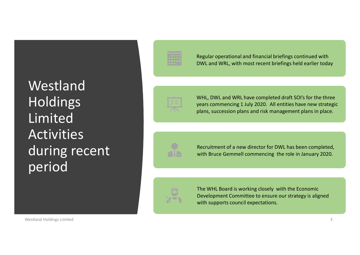Westland Holdings Limited Activities during recent period Limited<br>
Activities<br>
during recent<br>
Secret and Marketing Content of a new director for DWL has been completed,<br>
with Bruce Gemmell commencing the role in January 2020.<br>
Development Committee to ensure our strategy is align



Regular operational and financial briefings continued with DWL and WRL, with most recent briefings held earlier today



WHL, DWL and WRL have completed draft SOI's for the three years commencing 1 July 2020. All entities have new strategic plans, succession plans and risk management plans in place. WHL, DWL and WRL have completed draft SOI's for the three<br>years commencing 1 July 2020. All entities have new strategic<br>plans, succession plans and risk management plans in place.<br>Recruitment of a new director for DWL has WHL, DWL and WRL have completed draft SOI's for the three<br>years commencing 1 July 2020. All entities have new strategic<br>plans, succession plans and risk management plans in place.<br>Recruitment of a new director for DWL has



Recruitment of a new director for DWL has been completed, with Bruce Gemmell commencing the role in January 2020.



with supports council expectations.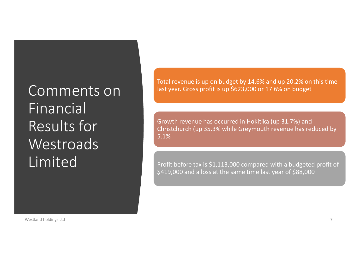Comments on Financial Results for **Westroads** Limited Franchistand holdings tid<br>
Westing though the state of the State of the State of the State of the State of State of the State of State of State of State of State of State of State of State of State of State of State of Sta

Total revenue is up on budget by 14.6% and up 20.2% on this time last year. Gross profit is up \$623,000 or 17.6% on budget

Total revenue is up on budget by 14.6% and up 20.2% on this time<br>last year. Gross profit is up \$623,000 or 17.6% on budget<br>Growth revenue has occurred in Hokitika (up 31.7%) and<br>Christchurch (up 35.3% while Greymouth reven Christchurch (up 35.3% while Greymouth revenue has reduced by 5.1%

Profit before tax is \$1,113,000 compared with a budgeted profit of \$419,000 and a loss at the same time last year of \$88,000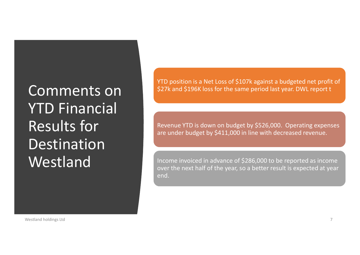Comments on YTD Financial Results for **Destination** Westland Results for<br>
Results for<br>
Destination<br>
Westland<br>
Westland holdings tid<br>
Westland holdings tid<br>
Westland holdings tid<br>
Westland holdings tid<br>
Westland holdings tid<br>
Westland holdings tid<br>
Westland holdings tid<br>
Westland hol

YTD position is a Net Loss of \$107k against a budgeted net profit of \$27k and \$196K loss for the same period last year. DWL report t

Revenue YTD is down on budget by \$526,000. Operating expenses are under budget by \$411,000 in line with decreased revenue.

Income invoiced in advance of \$286,000 to be reported as income over the next half of the year, so a better result is expected at year end.